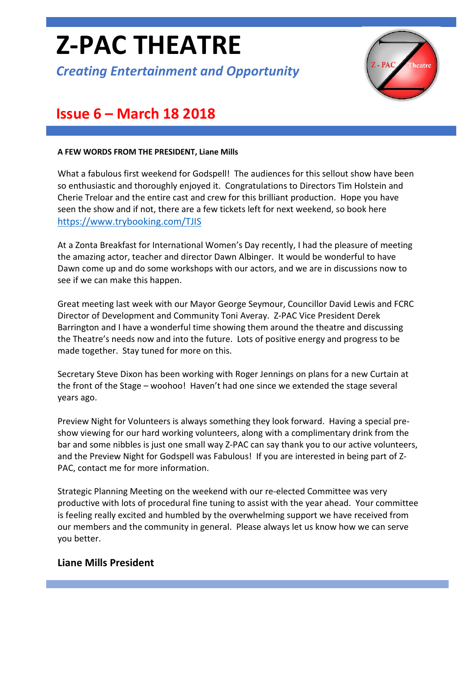# **Z-PAC THEATRE**

*Creating Entertainment and Opportunity*



# **Issue 6 – March 18 2018**

#### **A FEW WORDS FROM THE PRESIDENT, Liane Mills**

What a fabulous first weekend for Godspell! The audiences for this sellout show have been so enthusiastic and thoroughly enjoyed it. Congratulations to Directors Tim Holstein and Cherie Treloar and the entire cast and crew for this brilliant production. Hope you have seen the show and if not, there are a few tickets left for next weekend, so book here <https://www.trybooking.com/TJIS>

At a Zonta Breakfast for International Women's Day recently, I had the pleasure of meeting the amazing actor, teacher and director Dawn Albinger. It would be wonderful to have Dawn come up and do some workshops with our actors, and we are in discussions now to see if we can make this happen.

Great meeting last week with our Mayor George Seymour, Councillor David Lewis and FCRC Director of Development and Community Toni Averay. Z-PAC Vice President Derek Barrington and I have a wonderful time showing them around the theatre and discussing the Theatre's needs now and into the future. Lots of positive energy and progress to be made together. Stay tuned for more on this.

Secretary Steve Dixon has been working with Roger Jennings on plans for a new Curtain at the front of the Stage – woohoo! Haven't had one since we extended the stage several years ago.

Preview Night for Volunteers is always something they look forward. Having a special preshow viewing for our hard working volunteers, along with a complimentary drink from the bar and some nibbles is just one small way Z-PAC can say thank you to our active volunteers, and the Preview Night for Godspell was Fabulous! If you are interested in being part of Z-PAC, contact me for more information.

Strategic Planning Meeting on the weekend with our re-elected Committee was very productive with lots of procedural fine tuning to assist with the year ahead. Your committee is feeling really excited and humbled by the overwhelming support we have received from our members and the community in general. Please always let us know how we can serve you better.

#### **Liane Mills President**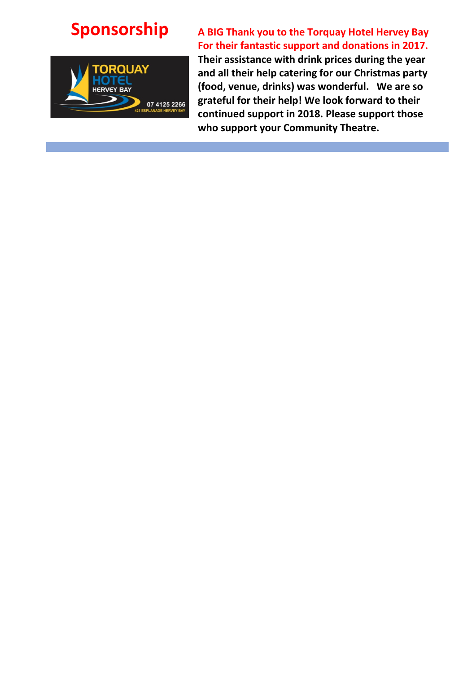

# **Sponsorship A BIG Thank you to the Torquay Hotel Hervey Bay For their fantastic support and donations in 2017.**

**Their assistance with drink prices during the year and all their help catering for our Christmas party (food, venue, drinks) was wonderful. We are so grateful for their help! We look forward to their continued support in 2018. Please support those who support your Community Theatre.**